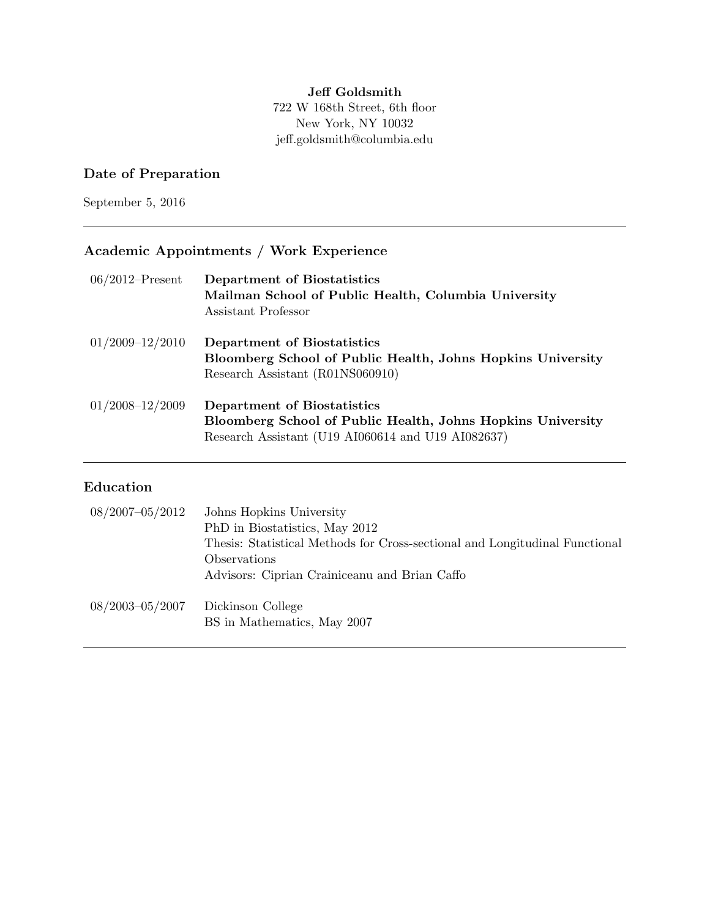#### Jeff Goldsmith 722 W 168th Street, 6th floor New York, NY 10032 jeff.goldsmith@columbia.edu

## Date of Preparation

September 5, 2016

# Academic Appointments / Work Experience

| $06/2012$ –Present  | Department of Biostatistics<br>Mailman School of Public Health, Columbia University<br>Assistant Professor                                       |
|---------------------|--------------------------------------------------------------------------------------------------------------------------------------------------|
| $01/2009 - 12/2010$ | Department of Biostatistics<br>Bloomberg School of Public Health, Johns Hopkins University<br>Research Assistant (R01NS060910)                   |
| $01/2008 - 12/2009$ | Department of Biostatistics<br>Bloomberg School of Public Health, Johns Hopkins University<br>Research Assistant (U19 AI060614 and U19 AI082637) |

### Education

| 08/2007-05/2012     | Johns Hopkins University<br>PhD in Biostatistics, May 2012<br>Thesis: Statistical Methods for Cross-sectional and Longitudinal Functional<br>Observations<br>Advisors: Ciprian Crainiceanu and Brian Caffo |
|---------------------|------------------------------------------------------------------------------------------------------------------------------------------------------------------------------------------------------------|
| $08/2003 - 05/2007$ | Dickinson College<br>BS in Mathematics, May 2007                                                                                                                                                           |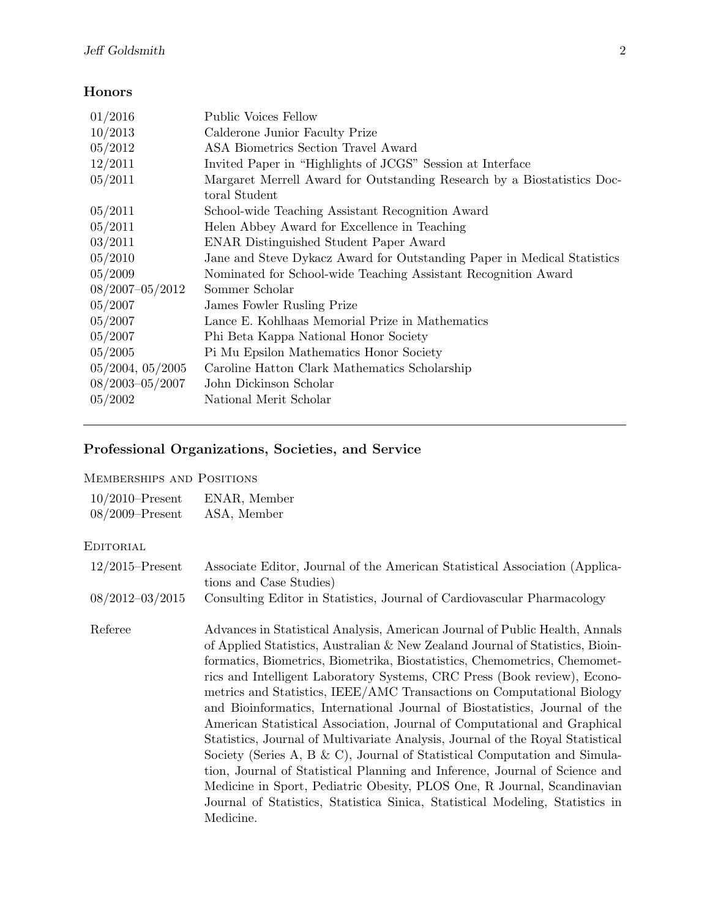## Honors

| 01/2016               | <b>Public Voices Fellow</b>                                             |
|-----------------------|-------------------------------------------------------------------------|
| 10/2013               | Calderone Junior Faculty Prize                                          |
| 05/2012               | ASA Biometrics Section Travel Award                                     |
| 12/2011               | Invited Paper in "Highlights of JCGS" Session at Interface              |
| 05/2011               | Margaret Merrell Award for Outstanding Research by a Biostatistics Doc- |
|                       | toral Student                                                           |
| 05/2011               | School-wide Teaching Assistant Recognition Award                        |
| 05/2011               | Helen Abbey Award for Excellence in Teaching                            |
| 03/2011               | <b>ENAR Distinguished Student Paper Award</b>                           |
| 05/2010               | Jane and Steve Dykacz Award for Outstanding Paper in Medical Statistics |
| 05/2009               | Nominated for School-wide Teaching Assistant Recognition Award          |
| $08/2007 - 05/2012$   | Sommer Scholar                                                          |
| 05/2007               | James Fowler Rusling Prize                                              |
| 05/2007               | Lance E. Kohlhaas Memorial Prize in Mathematics                         |
| 05/2007               | Phi Beta Kappa National Honor Society                                   |
| 05/2005               | Pi Mu Epsilon Mathematics Honor Society                                 |
| $05/2004$ , $05/2005$ | Caroline Hatton Clark Mathematics Scholarship                           |
| $08/2003 - 05/2007$   | John Dickinson Scholar                                                  |
| 05/2002               | National Merit Scholar                                                  |
|                       |                                                                         |

# Professional Organizations, Societies, and Service

#### Memberships and Positions

| $10/2010$ –Present  | ENAR, Member |
|---------------------|--------------|
| $08/2009 -$ Present | ASA, Member  |

### **EDITORIAL**

| $12/2015$ -Present  | Associate Editor, Journal of the American Statistical Association (Applica-<br>tions and Case Studies)                                                                                                                                                                                                                                                                                                                                                                                                                                                                                                                                                                                                                                                                                                                                                                                                                                                                           |
|---------------------|----------------------------------------------------------------------------------------------------------------------------------------------------------------------------------------------------------------------------------------------------------------------------------------------------------------------------------------------------------------------------------------------------------------------------------------------------------------------------------------------------------------------------------------------------------------------------------------------------------------------------------------------------------------------------------------------------------------------------------------------------------------------------------------------------------------------------------------------------------------------------------------------------------------------------------------------------------------------------------|
| $08/2012 - 03/2015$ | Consulting Editor in Statistics, Journal of Cardiovascular Pharmacology                                                                                                                                                                                                                                                                                                                                                                                                                                                                                                                                                                                                                                                                                                                                                                                                                                                                                                          |
| Referee             | Advances in Statistical Analysis, American Journal of Public Health, Annals<br>of Applied Statistics, Australian & New Zealand Journal of Statistics, Bioin-<br>formatics, Biometrics, Biometrika, Biostatistics, Chemometrics, Chemomet-<br>rics and Intelligent Laboratory Systems, CRC Press (Book review), Econo-<br>metrics and Statistics, IEEE/AMC Transactions on Computational Biology<br>and Bioinformatics, International Journal of Biostatistics, Journal of the<br>American Statistical Association, Journal of Computational and Graphical<br>Statistics, Journal of Multivariate Analysis, Journal of the Royal Statistical<br>Society (Series A, B & C), Journal of Statistical Computation and Simula-<br>tion, Journal of Statistical Planning and Inference, Journal of Science and<br>Medicine in Sport, Pediatric Obesity, PLOS One, R Journal, Scandinavian<br>Journal of Statistics, Statistica Sinica, Statistical Modeling, Statistics in<br>Medicine. |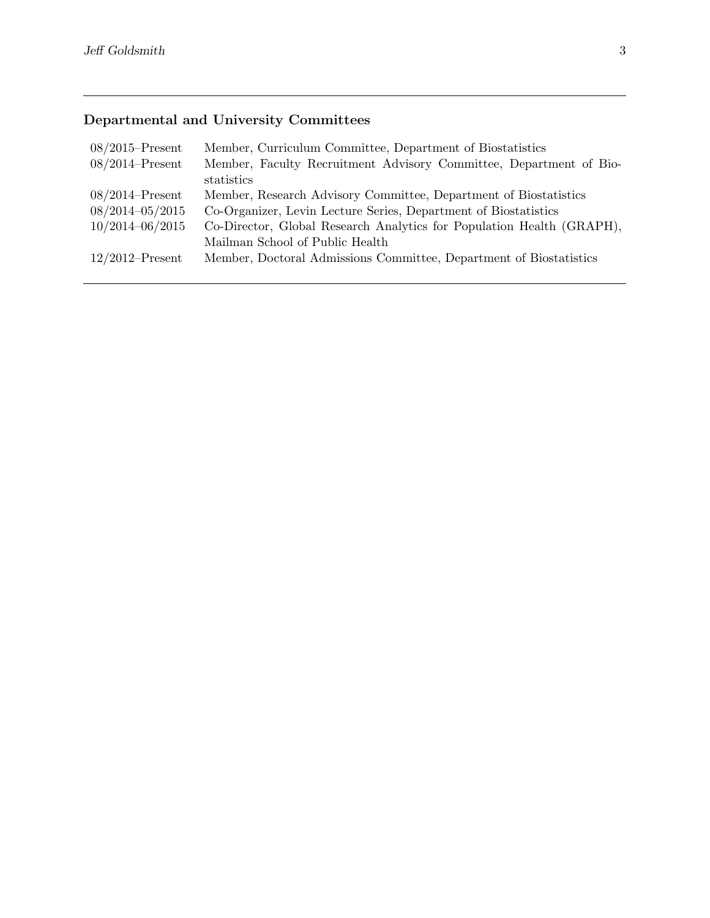# Departmental and University Committees

| $08/2015$ –Present  | Member, Curriculum Committee, Department of Biostatistics             |
|---------------------|-----------------------------------------------------------------------|
| $08/2014$ -Present  | Member, Faculty Recruitment Advisory Committee, Department of Bio-    |
|                     | statistics                                                            |
| $08/2014$ -Present  | Member, Research Advisory Committee, Department of Biostatistics      |
| $08/2014 - 05/2015$ | Co-Organizer, Levin Lecture Series, Department of Biostatistics       |
| $10/2014 - 06/2015$ | Co-Director, Global Research Analytics for Population Health (GRAPH), |
|                     | Mailman School of Public Health                                       |
| $12/2012$ –Present  | Member, Doctoral Admissions Committee, Department of Biostatistics    |
|                     |                                                                       |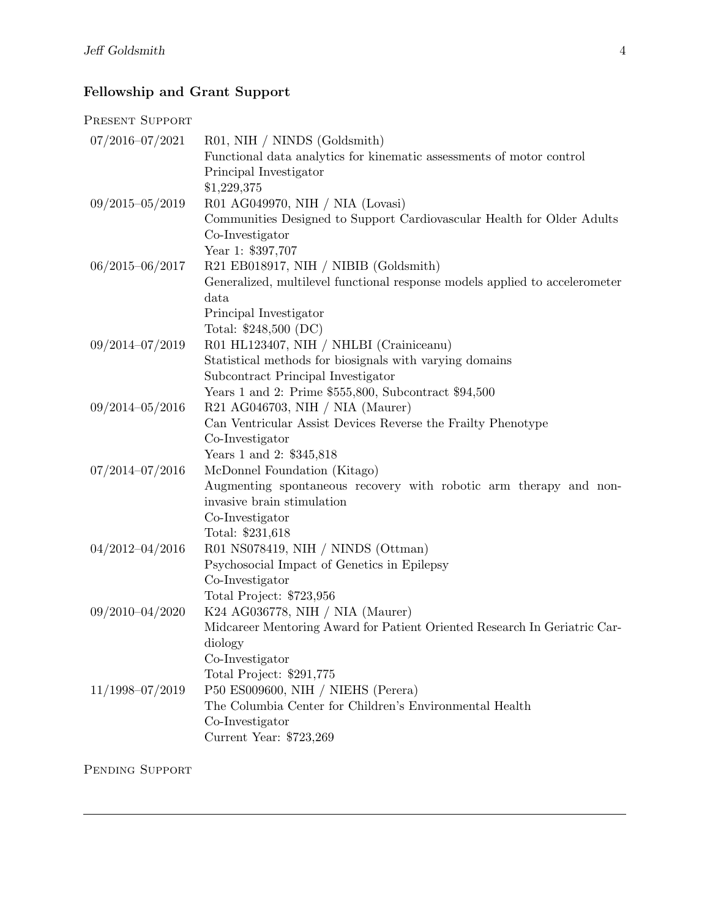# Fellowship and Grant Support

### PRESENT SUPPORT

| $07/2016 - 07/2021$ | R01, NIH / NINDS (Goldsmith)                                                |
|---------------------|-----------------------------------------------------------------------------|
|                     | Functional data analytics for kinematic assessments of motor control        |
|                     | Principal Investigator                                                      |
|                     | \$1,229,375                                                                 |
| $09/2015 - 05/2019$ | R01 AG049970, NIH / NIA (Lovasi)                                            |
|                     | Communities Designed to Support Cardiovascular Health for Older Adults      |
|                     | Co-Investigator                                                             |
|                     | Year 1: \$397,707                                                           |
| $06/2015 - 06/2017$ | R21 EB018917, NIH / NIBIB (Goldsmith)                                       |
|                     | Generalized, multilevel functional response models applied to accelerometer |
|                     | data                                                                        |
|                     | Principal Investigator                                                      |
|                     | Total: \$248,500 (DC)                                                       |
| $09/2014 - 07/2019$ | R01 HL123407, NIH / NHLBI (Crainiceanu)                                     |
|                     | Statistical methods for biosignals with varying domains                     |
|                     | Subcontract Principal Investigator                                          |
|                     | Years 1 and 2: Prime \$555,800, Subcontract \$94,500                        |
| $09/2014 - 05/2016$ | R21 AG046703, NIH / NIA (Maurer)                                            |
|                     | Can Ventricular Assist Devices Reverse the Frailty Phenotype                |
|                     | Co-Investigator                                                             |
|                     | Years 1 and 2: \$345,818                                                    |
| $07/2014 - 07/2016$ | McDonnel Foundation (Kitago)                                                |
|                     | Augmenting spontaneous recovery with robotic arm therapy and non-           |
|                     | invasive brain stimulation                                                  |
|                     | Co-Investigator                                                             |
|                     | Total: \$231,618                                                            |
| $04/2012 - 04/2016$ | R01 NS078419, NIH / NINDS (Ottman)                                          |
|                     | Psychosocial Impact of Genetics in Epilepsy                                 |
|                     | Co-Investigator                                                             |
|                     | Total Project: \$723,956                                                    |
| $09/2010 - 04/2020$ | K24 AG036778, NIH / NIA (Maurer)                                            |
|                     | Midcareer Mentoring Award for Patient Oriented Research In Geriatric Car-   |
|                     | diology                                                                     |
|                     | Co-Investigator                                                             |
|                     | Total Project: \$291,775                                                    |
| $11/1998 - 07/2019$ | P50 ES009600, NIH / NIEHS (Perera)                                          |
|                     | The Columbia Center for Children's Environmental Health                     |
|                     | Co-Investigator                                                             |
|                     | Current Year: \$723,269                                                     |

Pending Support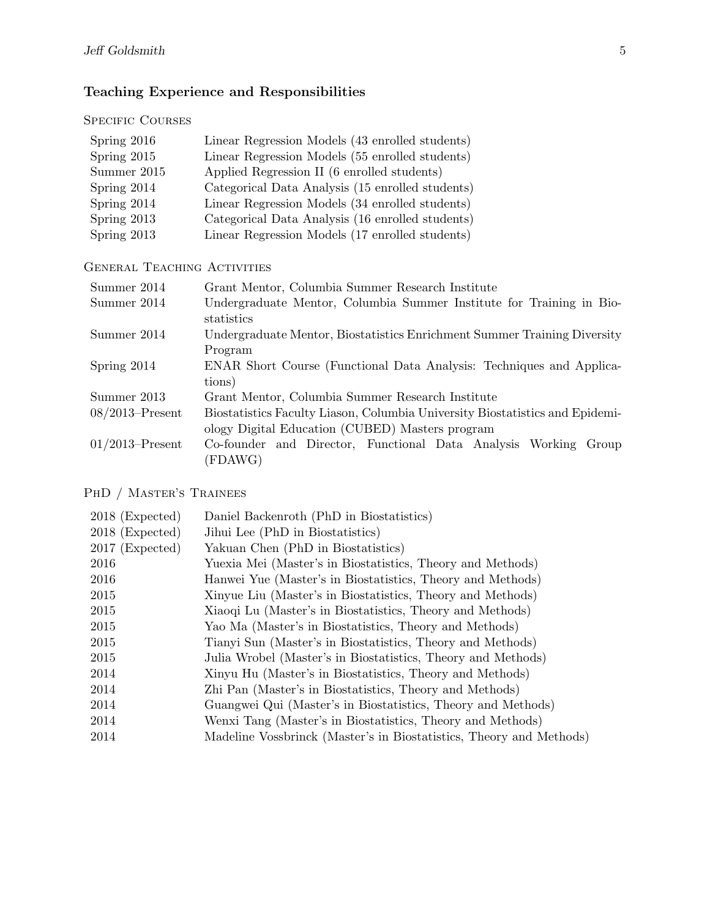# Teaching Experience and Responsibilities

### SPECIFIC COURSES

| Spring 2016 | Linear Regression Models (43 enrolled students)  |
|-------------|--------------------------------------------------|
| Spring 2015 | Linear Regression Models (55 enrolled students)  |
| Summer 2015 | Applied Regression II (6 enrolled students)      |
| Spring 2014 | Categorical Data Analysis (15 enrolled students) |
| Spring 2014 | Linear Regression Models (34 enrolled students)  |
| Spring 2013 | Categorical Data Analysis (16 enrolled students) |
| Spring 2013 | Linear Regression Models (17 enrolled students)  |

#### GENERAL TEACHING ACTIVITIES

| Summer 2014        | Grant Mentor, Columbia Summer Research Institute                                   |
|--------------------|------------------------------------------------------------------------------------|
| Summer 2014        | Undergraduate Mentor, Columbia Summer Institute for Training in Bio-<br>statistics |
| Summer 2014        | Undergraduate Mentor, Biostatistics Enrichment Summer Training Diversity           |
|                    | Program                                                                            |
| Spring 2014        | ENAR Short Course (Functional Data Analysis: Techniques and Applica-               |
|                    | tions)                                                                             |
| Summer 2013        | Grant Mentor, Columbia Summer Research Institute                                   |
| $08/2013$ -Present | Biostatistics Faculty Liason, Columbia University Biostatistics and Epidemi-       |
|                    | ology Digital Education (CUBED) Masters program                                    |
| $01/2013$ -Present | Co-founder and Director, Functional Data Analysis Working Group                    |
|                    | (FDAWG)                                                                            |

### PhD / Master's Trainees

| $2018$ (Expected) | Daniel Backenroth (PhD in Biostatistics)                            |
|-------------------|---------------------------------------------------------------------|
| $2018$ (Expected) | Jihui Lee (PhD in Biostatistics)                                    |
| $2017$ (Expected) | Yakuan Chen (PhD in Biostatistics)                                  |
| 2016              | Yuexia Mei (Master's in Biostatistics, Theory and Methods)          |
| 2016              | Hanwei Yue (Master's in Biostatistics, Theory and Methods)          |
| 2015              | Xinyue Liu (Master's in Biostatistics, Theory and Methods)          |
| 2015              | Xiaoqi Lu (Master's in Biostatistics, Theory and Methods)           |
| 2015              | Yao Ma (Master's in Biostatistics, Theory and Methods)              |
| 2015              | Tianyi Sun (Master's in Biostatistics, Theory and Methods)          |
| 2015              | Julia Wrobel (Master's in Biostatistics, Theory and Methods)        |
| 2014              | Xinyu Hu (Master's in Biostatistics, Theory and Methods)            |
| 2014              | Zhi Pan (Master's in Biostatistics, Theory and Methods)             |
| 2014              | Guangwei Qui (Master's in Biostatistics, Theory and Methods)        |
| 2014              | Wenxi Tang (Master's in Biostatistics, Theory and Methods)          |
| 2014              | Madeline Vossbrinck (Master's in Biostatistics, Theory and Methods) |
|                   |                                                                     |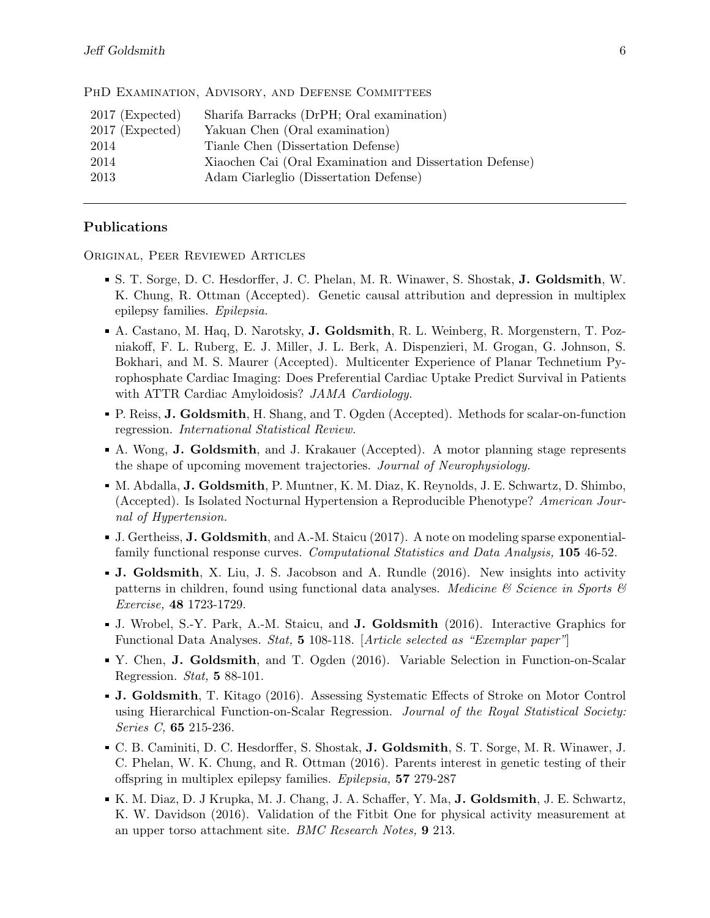| PHD EXAMINATION, ADVISORY, AND DEFENSE COMMITTEES |  |  |
|---------------------------------------------------|--|--|
|                                                   |  |  |

| $2017$ (Expected) | Sharifa Barracks (DrPH; Oral examination)                |
|-------------------|----------------------------------------------------------|
| $2017$ (Expected) | Yakuan Chen (Oral examination)                           |
| 2014              | Tianle Chen (Dissertation Defense)                       |
| 2014              | Xiaochen Cai (Oral Examination and Dissertation Defense) |
| 2013              | Adam Ciarleglio (Dissertation Defense)                   |

#### Publications

Original, Peer Reviewed Articles

- S. T. Sorge, D. C. Hesdorffer, J. C. Phelan, M. R. Winawer, S. Shostak, J. Goldsmith, W. K. Chung, R. Ottman (Accepted). Genetic causal attribution and depression in multiplex epilepsy families. Epilepsia.
- A. Castano, M. Haq, D. Narotsky, J. Goldsmith, R. L. Weinberg, R. Morgenstern, T. Pozniakoff, F. L. Ruberg, E. J. Miller, J. L. Berk, A. Dispenzieri, M. Grogan, G. Johnson, S. Bokhari, and M. S. Maurer (Accepted). Multicenter Experience of Planar Technetium Pyrophosphate Cardiac Imaging: Does Preferential Cardiac Uptake Predict Survival in Patients with ATTR Cardiac Amyloidosis? JAMA Cardiology.
- P. Reiss, J. Goldsmith, H. Shang, and T. Ogden (Accepted). Methods for scalar-on-function regression. International Statistical Review.
- A. Wong, J. Goldsmith, and J. Krakauer (Accepted). A motor planning stage represents the shape of upcoming movement trajectories. Journal of Neurophysiology.
- M. Abdalla, J. Goldsmith, P. Muntner, K. M. Diaz, K. Reynolds, J. E. Schwartz, D. Shimbo, (Accepted). Is Isolated Nocturnal Hypertension a Reproducible Phenotype? American Journal of Hypertension.
- J. Gertheiss, J. Goldsmith, and A.-M. Staicu (2017). A note on modeling sparse exponentialfamily functional response curves. *Computational Statistics and Data Analysis*, **105** 46-52.
- J. Goldsmith, X. Liu, J. S. Jacobson and A. Rundle (2016). New insights into activity patterns in children, found using functional data analyses. Medicine  $\mathcal C$  Science in Sports  $\mathcal C$ Exercise, 48 1723-1729.
- J. Wrobel, S.-Y. Park, A.-M. Staicu, and J. Goldsmith (2016). Interactive Graphics for Functional Data Analyses. Stat, 5 108-118. [Article selected as "Exemplar paper"]
- Y. Chen, J. Goldsmith, and T. Ogden (2016). Variable Selection in Function-on-Scalar Regression. Stat, 5 88-101.
- J. Goldsmith, T. Kitago (2016). Assessing Systematic Effects of Stroke on Motor Control using Hierarchical Function-on-Scalar Regression. Journal of the Royal Statistical Society: Series C, 65 215-236.
- C. B. Caminiti, D. C. Hesdorffer, S. Shostak, J. Goldsmith, S. T. Sorge, M. R. Winawer, J. C. Phelan, W. K. Chung, and R. Ottman (2016). Parents interest in genetic testing of their offspring in multiplex epilepsy families. Epilepsia, 57 279-287
- K. M. Diaz, D. J Krupka, M. J. Chang, J. A. Schaffer, Y. Ma, J. Goldsmith, J. E. Schwartz, K. W. Davidson (2016). Validation of the Fitbit One for physical activity measurement at an upper torso attachment site. BMC Research Notes, 9 213.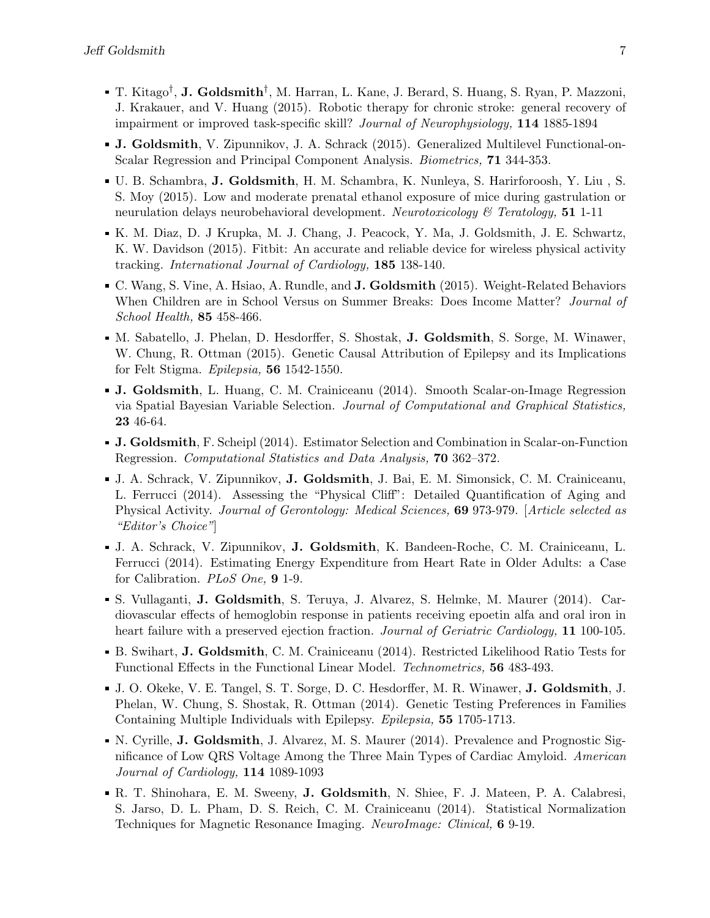- T. Kitago<sup>†</sup>, **J. Goldsmith**<sup>†</sup>, M. Harran, L. Kane, J. Berard, S. Huang, S. Ryan, P. Mazzoni, J. Krakauer, and V. Huang (2015). Robotic therapy for chronic stroke: general recovery of impairment or improved task-specific skill? Journal of Neurophysiology, 114 1885-1894
- J. Goldsmith, V. Zipunnikov, J. A. Schrack (2015). Generalized Multilevel Functional-on-Scalar Regression and Principal Component Analysis. Biometrics, 71 344-353.
- U. B. Schambra, J. Goldsmith, H. M. Schambra, K. Nunleya, S. Harirforoosh, Y. Liu , S. S. Moy (2015). Low and moderate prenatal ethanol exposure of mice during gastrulation or neurulation delays neurobehavioral development. Neurotoxicology & Teratology, 51 1-11
- K. M. Diaz, D. J Krupka, M. J. Chang, J. Peacock, Y. Ma, J. Goldsmith, J. E. Schwartz, K. W. Davidson (2015). Fitbit: An accurate and reliable device for wireless physical activity tracking. International Journal of Cardiology, 185 138-140.
- C. Wang, S. Vine, A. Hsiao, A. Rundle, and **J. Goldsmith** (2015). Weight-Related Behaviors When Children are in School Versus on Summer Breaks: Does Income Matter? *Journal of* School Health, 85 458-466.
- M. Sabatello, J. Phelan, D. Hesdorffer, S. Shostak, J. Goldsmith, S. Sorge, M. Winawer, W. Chung, R. Ottman (2015). Genetic Causal Attribution of Epilepsy and its Implications for Felt Stigma. Epilepsia, 56 1542-1550.
- J. Goldsmith, L. Huang, C. M. Crainiceanu (2014). Smooth Scalar-on-Image Regression via Spatial Bayesian Variable Selection. Journal of Computational and Graphical Statistics, 23 46-64.
- J. Goldsmith, F. Scheipl (2014). Estimator Selection and Combination in Scalar-on-Function Regression. Computational Statistics and Data Analysis, 70 362–372.
- J. A. Schrack, V. Zipunnikov, J. Goldsmith, J. Bai, E. M. Simonsick, C. M. Crainiceanu, L. Ferrucci (2014). Assessing the "Physical Cliff": Detailed Quantification of Aging and Physical Activity. Journal of Gerontology: Medical Sciences, 69 973-979. [Article selected as "Editor's Choice"]
- J. A. Schrack, V. Zipunnikov, J. Goldsmith, K. Bandeen-Roche, C. M. Crainiceanu, L. Ferrucci (2014). Estimating Energy Expenditure from Heart Rate in Older Adults: a Case for Calibration. PLoS One, 9 1-9.
- S. Vullaganti, J. Goldsmith, S. Teruya, J. Alvarez, S. Helmke, M. Maurer (2014). Cardiovascular effects of hemoglobin response in patients receiving epoetin alfa and oral iron in heart failure with a preserved ejection fraction. *Journal of Geriatric Cardiology*, 11 100-105.
- B. Swihart, J. Goldsmith, C. M. Crainiceanu (2014). Restricted Likelihood Ratio Tests for Functional Effects in the Functional Linear Model. Technometrics, 56 483-493.
- J. O. Okeke, V. E. Tangel, S. T. Sorge, D. C. Hesdorffer, M. R. Winawer, J. Goldsmith, J. Phelan, W. Chung, S. Shostak, R. Ottman (2014). Genetic Testing Preferences in Families Containing Multiple Individuals with Epilepsy. Epilepsia, 55 1705-1713.
- N. Cyrille, J. Goldsmith, J. Alvarez, M. S. Maurer (2014). Prevalence and Prognostic Significance of Low QRS Voltage Among the Three Main Types of Cardiac Amyloid. American Journal of Cardiology, 114 1089-1093
- R. T. Shinohara, E. M. Sweeny, J. Goldsmith, N. Shiee, F. J. Mateen, P. A. Calabresi, S. Jarso, D. L. Pham, D. S. Reich, C. M. Crainiceanu (2014). Statistical Normalization Techniques for Magnetic Resonance Imaging. NeuroImage: Clinical, 6 9-19.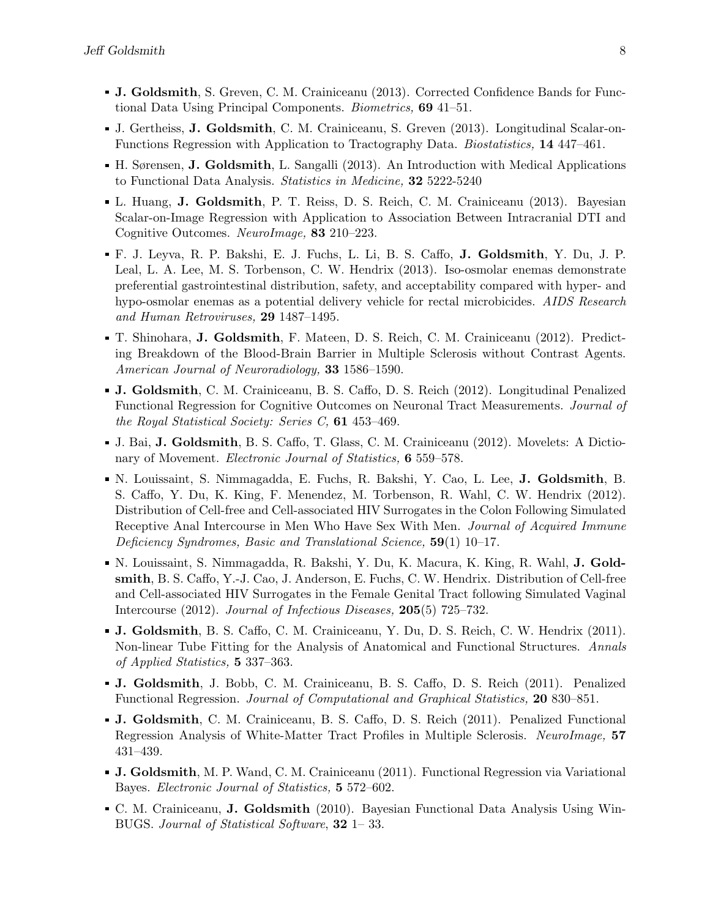- J. Goldsmith, S. Greven, C. M. Crainiceanu (2013). Corrected Confidence Bands for Functional Data Using Principal Components. Biometrics, 69 41–51.
- J. Gertheiss, J. Goldsmith, C. M. Crainiceanu, S. Greven (2013). Longitudinal Scalar-on-Functions Regression with Application to Tractography Data. Biostatistics, 14 447–461.
- H. Sørensen, J. Goldsmith, L. Sangalli (2013). An Introduction with Medical Applications to Functional Data Analysis. Statistics in Medicine, 32 5222-5240
- L. Huang, J. Goldsmith, P. T. Reiss, D. S. Reich, C. M. Crainiceanu (2013). Bayesian Scalar-on-Image Regression with Application to Association Between Intracranial DTI and Cognitive Outcomes. NeuroImage, 83 210–223.
- F. J. Leyva, R. P. Bakshi, E. J. Fuchs, L. Li, B. S. Caffo, J. Goldsmith, Y. Du, J. P. Leal, L. A. Lee, M. S. Torbenson, C. W. Hendrix (2013). Iso-osmolar enemas demonstrate preferential gastrointestinal distribution, safety, and acceptability compared with hyper- and hypo-osmolar enemas as a potential delivery vehicle for rectal microbicides. AIDS Research and Human Retroviruses, 29 1487–1495.
- T. Shinohara, J. Goldsmith, F. Mateen, D. S. Reich, C. M. Crainiceanu (2012). Predicting Breakdown of the Blood-Brain Barrier in Multiple Sclerosis without Contrast Agents. American Journal of Neuroradiology, 33 1586–1590.
- J. Goldsmith, C. M. Crainiceanu, B. S. Caffo, D. S. Reich (2012). Longitudinal Penalized Functional Regression for Cognitive Outcomes on Neuronal Tract Measurements. Journal of the Royal Statistical Society: Series C, 61 453–469.
- J. Bai, J. Goldsmith, B. S. Caffo, T. Glass, C. M. Crainiceanu (2012). Movelets: A Dictionary of Movement. Electronic Journal of Statistics, 6 559–578.
- N. Louissaint, S. Nimmagadda, E. Fuchs, R. Bakshi, Y. Cao, L. Lee, J. Goldsmith, B. S. Caffo, Y. Du, K. King, F. Menendez, M. Torbenson, R. Wahl, C. W. Hendrix (2012). Distribution of Cell-free and Cell-associated HIV Surrogates in the Colon Following Simulated Receptive Anal Intercourse in Men Who Have Sex With Men. Journal of Acquired Immune Deficiency Syndromes, Basic and Translational Science, 59(1) 10–17.
- N. Louissaint, S. Nimmagadda, R. Bakshi, Y. Du, K. Macura, K. King, R. Wahl, J. Goldsmith, B. S. Caffo, Y.-J. Cao, J. Anderson, E. Fuchs, C. W. Hendrix. Distribution of Cell-free and Cell-associated HIV Surrogates in the Female Genital Tract following Simulated Vaginal Intercourse (2012). Journal of Infectious Diseases, 205(5) 725–732.
- J. Goldsmith, B. S. Caffo, C. M. Crainiceanu, Y. Du, D. S. Reich, C. W. Hendrix (2011). Non-linear Tube Fitting for the Analysis of Anatomical and Functional Structures. Annals of Applied Statistics, 5 337–363.
- J. Goldsmith, J. Bobb, C. M. Crainiceanu, B. S. Caffo, D. S. Reich (2011). Penalized Functional Regression. Journal of Computational and Graphical Statistics, 20 830–851.
- J. Goldsmith, C. M. Crainiceanu, B. S. Caffo, D. S. Reich (2011). Penalized Functional Regression Analysis of White-Matter Tract Profiles in Multiple Sclerosis. NeuroImage, 57 431–439.
- J. Goldsmith, M. P. Wand, C. M. Crainiceanu (2011). Functional Regression via Variational Bayes. Electronic Journal of Statistics, 5 572–602.
- C. M. Crainiceanu, J. Goldsmith (2010). Bayesian Functional Data Analysis Using Win-BUGS. Journal of Statistical Software, 32 1– 33.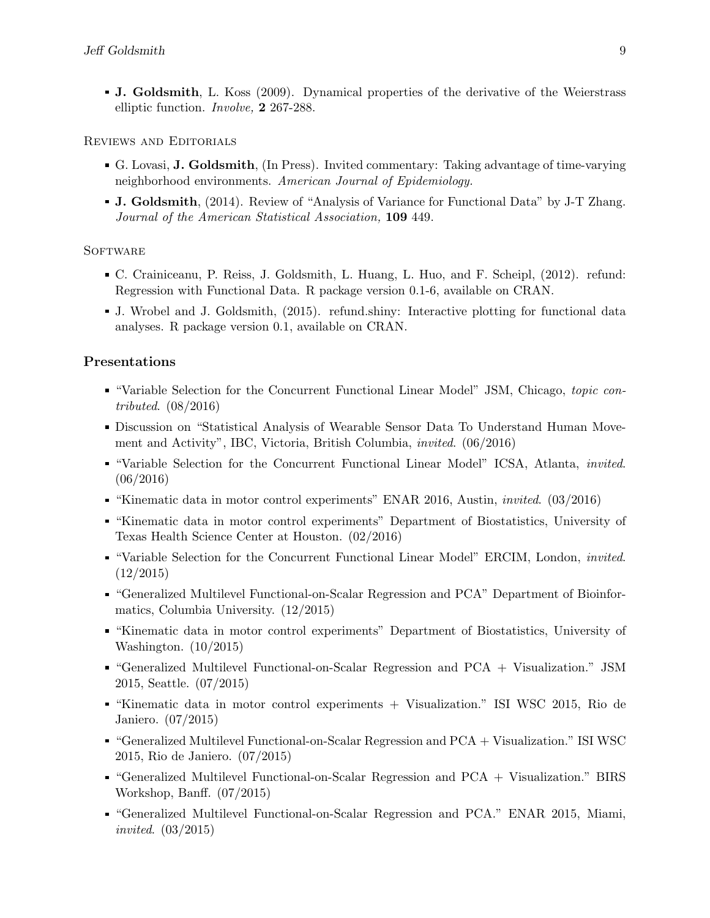J. Goldsmith, L. Koss (2009). Dynamical properties of the derivative of the Weierstrass elliptic function. Involve, 2 267-288.

#### Reviews and Editorials

- G. Lovasi, J. Goldsmith, (In Press). Invited commentary: Taking advantage of time-varying neighborhood environments. American Journal of Epidemiology.
- J. Goldsmith, (2014). Review of "Analysis of Variance for Functional Data" by J-T Zhang. Journal of the American Statistical Association, 109 449.

#### **SOFTWARE**

- C. Crainiceanu, P. Reiss, J. Goldsmith, L. Huang, L. Huo, and F. Scheipl, (2012). refund: Regression with Functional Data. R package version 0.1-6, available on CRAN.
- J. Wrobel and J. Goldsmith, (2015). refund.shiny: Interactive plotting for functional data analyses. R package version 0.1, available on CRAN.

#### Presentations

- "Variable Selection for the Concurrent Functional Linear Model" JSM, Chicago, topic contributed. (08/2016)
- Discussion on "Statistical Analysis of Wearable Sensor Data To Understand Human Movement and Activity", IBC, Victoria, British Columbia, invited. (06/2016)
- "Variable Selection for the Concurrent Functional Linear Model" ICSA, Atlanta, invited. (06/2016)
- "Kinematic data in motor control experiments" ENAR 2016, Austin, invited. (03/2016)
- "Kinematic data in motor control experiments" Department of Biostatistics, University of Texas Health Science Center at Houston. (02/2016)
- "Variable Selection for the Concurrent Functional Linear Model" ERCIM, London, invited. (12/2015)
- "Generalized Multilevel Functional-on-Scalar Regression and PCA" Department of Bioinformatics, Columbia University. (12/2015)
- "Kinematic data in motor control experiments" Department of Biostatistics, University of Washington. (10/2015)
- "Generalized Multilevel Functional-on-Scalar Regression and PCA + Visualization." JSM 2015, Seattle. (07/2015)
- "Kinematic data in motor control experiments + Visualization." ISI WSC 2015, Rio de Janiero. (07/2015)
- "Generalized Multilevel Functional-on-Scalar Regression and PCA + Visualization." ISI WSC 2015, Rio de Janiero. (07/2015)
- "Generalized Multilevel Functional-on-Scalar Regression and PCA + Visualization." BIRS Workshop, Banff. (07/2015)
- "Generalized Multilevel Functional-on-Scalar Regression and PCA." ENAR 2015, Miami, invited. (03/2015)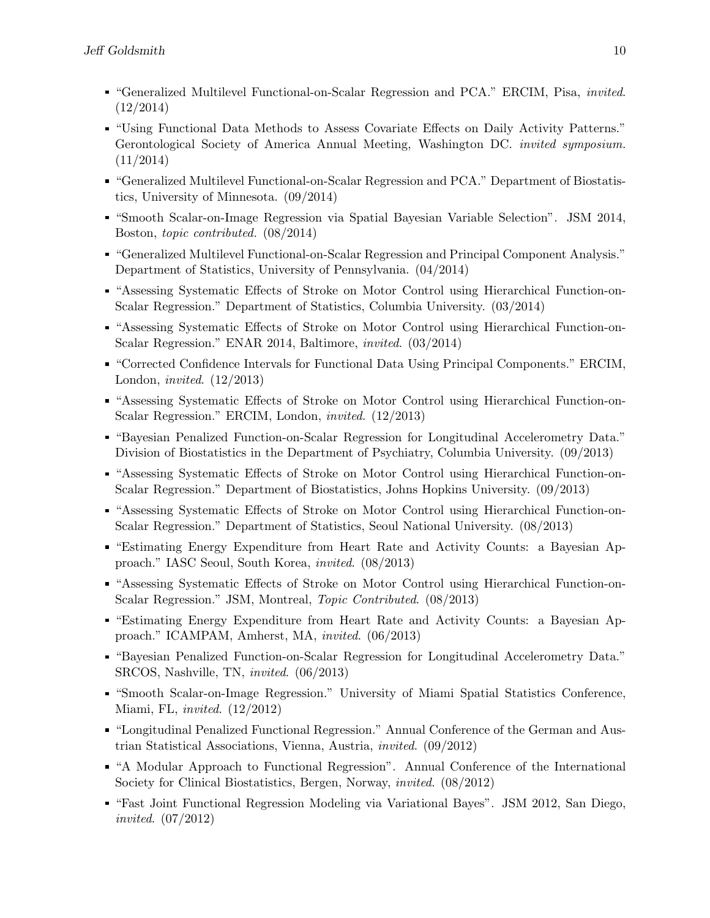- "Generalized Multilevel Functional-on-Scalar Regression and PCA." ERCIM, Pisa, invited. (12/2014)
- "Using Functional Data Methods to Assess Covariate Effects on Daily Activity Patterns." Gerontological Society of America Annual Meeting, Washington DC. invited symposium. (11/2014)
- "Generalized Multilevel Functional-on-Scalar Regression and PCA." Department of Biostatistics, University of Minnesota. (09/2014)
- "Smooth Scalar-on-Image Regression via Spatial Bayesian Variable Selection". JSM 2014, Boston, topic contributed. (08/2014)
- "Generalized Multilevel Functional-on-Scalar Regression and Principal Component Analysis." Department of Statistics, University of Pennsylvania. (04/2014)
- "Assessing Systematic Effects of Stroke on Motor Control using Hierarchical Function-on-Scalar Regression." Department of Statistics, Columbia University. (03/2014)
- "Assessing Systematic Effects of Stroke on Motor Control using Hierarchical Function-on-Scalar Regression." ENAR 2014, Baltimore, invited. (03/2014)
- "Corrected Confidence Intervals for Functional Data Using Principal Components." ERCIM, London, invited. (12/2013)
- "Assessing Systematic Effects of Stroke on Motor Control using Hierarchical Function-on-Scalar Regression." ERCIM, London, invited. (12/2013)
- "Bayesian Penalized Function-on-Scalar Regression for Longitudinal Accelerometry Data." Division of Biostatistics in the Department of Psychiatry, Columbia University. (09/2013)
- "Assessing Systematic Effects of Stroke on Motor Control using Hierarchical Function-on-Scalar Regression." Department of Biostatistics, Johns Hopkins University. (09/2013)
- "Assessing Systematic Effects of Stroke on Motor Control using Hierarchical Function-on-Scalar Regression." Department of Statistics, Seoul National University. (08/2013)
- "Estimating Energy Expenditure from Heart Rate and Activity Counts: a Bayesian Approach." IASC Seoul, South Korea, invited. (08/2013)
- "Assessing Systematic Effects of Stroke on Motor Control using Hierarchical Function-on-Scalar Regression." JSM, Montreal, Topic Contributed. (08/2013)
- "Estimating Energy Expenditure from Heart Rate and Activity Counts: a Bayesian Approach." ICAMPAM, Amherst, MA, invited. (06/2013)
- "Bayesian Penalized Function-on-Scalar Regression for Longitudinal Accelerometry Data." SRCOS, Nashville, TN, invited. (06/2013)
- "Smooth Scalar-on-Image Regression." University of Miami Spatial Statistics Conference, Miami, FL, invited. (12/2012)
- "Longitudinal Penalized Functional Regression." Annual Conference of the German and Austrian Statistical Associations, Vienna, Austria, invited. (09/2012)
- "A Modular Approach to Functional Regression". Annual Conference of the International Society for Clinical Biostatistics, Bergen, Norway, invited. (08/2012)
- "Fast Joint Functional Regression Modeling via Variational Bayes". JSM 2012, San Diego, invited. (07/2012)